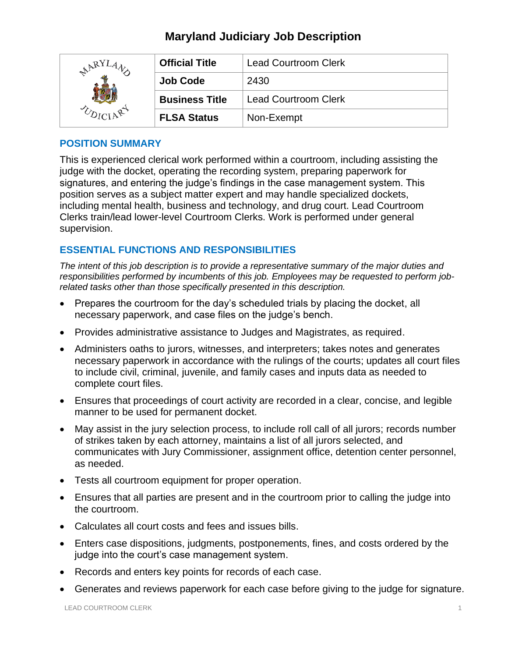| RY | <b>Official Title</b> | <b>Lead Courtroom Clerk</b> |
|----|-----------------------|-----------------------------|
|    | <b>Job Code</b>       | 2430                        |
|    | <b>Business Title</b> | <b>Lead Courtroom Clerk</b> |
|    | <b>FLSA Status</b>    | Non-Exempt                  |

### **POSITION SUMMARY**

This is experienced clerical work performed within a courtroom, including assisting the judge with the docket, operating the recording system, preparing paperwork for signatures, and entering the judge's findings in the case management system. This position serves as a subject matter expert and may handle specialized dockets, including mental health, business and technology, and drug court. Lead Courtroom Clerks train/lead lower-level Courtroom Clerks. Work is performed under general supervision.

## **ESSENTIAL FUNCTIONS AND RESPONSIBILITIES**

*The intent of this job description is to provide a representative summary of the major duties and responsibilities performed by incumbents of this job. Employees may be requested to perform jobrelated tasks other than those specifically presented in this description.*

- Prepares the courtroom for the day's scheduled trials by placing the docket, all necessary paperwork, and case files on the judge's bench.
- Provides administrative assistance to Judges and Magistrates, as required.
- Administers oaths to jurors, witnesses, and interpreters; takes notes and generates necessary paperwork in accordance with the rulings of the courts; updates all court files to include civil, criminal, juvenile, and family cases and inputs data as needed to complete court files.
- Ensures that proceedings of court activity are recorded in a clear, concise, and legible manner to be used for permanent docket.
- May assist in the jury selection process, to include roll call of all jurors; records number of strikes taken by each attorney, maintains a list of all jurors selected, and communicates with Jury Commissioner, assignment office, detention center personnel, as needed.
- Tests all courtroom equipment for proper operation.
- Ensures that all parties are present and in the courtroom prior to calling the judge into the courtroom.
- Calculates all court costs and fees and issues bills.
- Enters case dispositions, judgments, postponements, fines, and costs ordered by the judge into the court's case management system.
- Records and enters key points for records of each case.
- Generates and reviews paperwork for each case before giving to the judge for signature.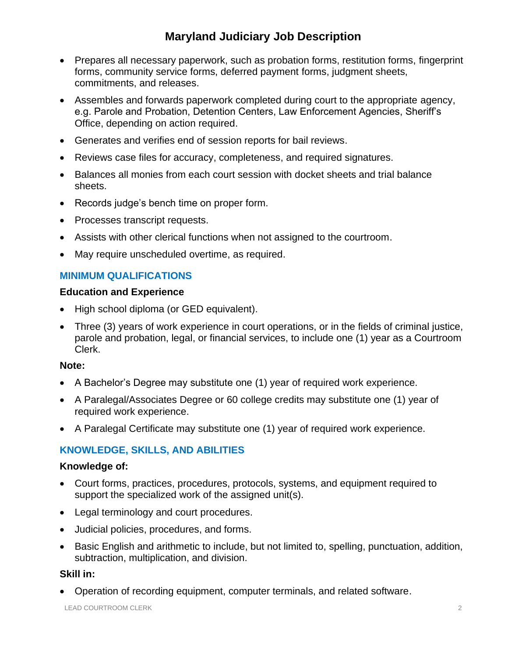- Prepares all necessary paperwork, such as probation forms, restitution forms, fingerprint forms, community service forms, deferred payment forms, judgment sheets, commitments, and releases.
- Assembles and forwards paperwork completed during court to the appropriate agency, e.g. Parole and Probation, Detention Centers, Law Enforcement Agencies, Sheriff's Office, depending on action required.
- Generates and verifies end of session reports for bail reviews.
- Reviews case files for accuracy, completeness, and required signatures.
- Balances all monies from each court session with docket sheets and trial balance sheets.
- Records judge's bench time on proper form.
- Processes transcript requests.
- Assists with other clerical functions when not assigned to the courtroom.
- May require unscheduled overtime, as required.

## **MINIMUM QUALIFICATIONS**

#### **Education and Experience**

- High school diploma (or GED equivalent).
- Three (3) years of work experience in court operations, or in the fields of criminal justice, parole and probation, legal, or financial services, to include one (1) year as a Courtroom Clerk.

#### **Note:**

- A Bachelor's Degree may substitute one (1) year of required work experience.
- A Paralegal/Associates Degree or 60 college credits may substitute one (1) year of required work experience.
- A Paralegal Certificate may substitute one (1) year of required work experience.

## **KNOWLEDGE, SKILLS, AND ABILITIES**

#### **Knowledge of:**

- Court forms, practices, procedures, protocols, systems, and equipment required to support the specialized work of the assigned unit(s).
- Legal terminology and court procedures.
- Judicial policies, procedures, and forms.
- Basic English and arithmetic to include, but not limited to, spelling, punctuation, addition, subtraction, multiplication, and division.

#### **Skill in:**

• Operation of recording equipment, computer terminals, and related software.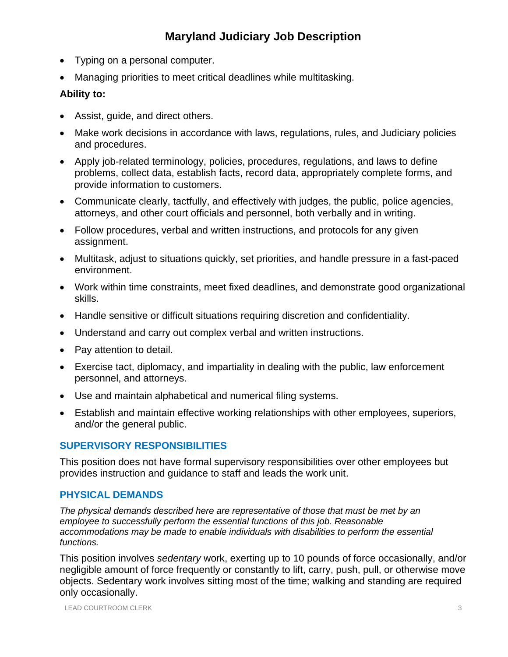- Typing on a personal computer.
- Managing priorities to meet critical deadlines while multitasking.

### **Ability to:**

- Assist, guide, and direct others.
- Make work decisions in accordance with laws, regulations, rules, and Judiciary policies and procedures.
- Apply job-related terminology, policies, procedures, regulations, and laws to define problems, collect data, establish facts, record data, appropriately complete forms, and provide information to customers.
- Communicate clearly, tactfully, and effectively with judges, the public, police agencies, attorneys, and other court officials and personnel, both verbally and in writing.
- Follow procedures, verbal and written instructions, and protocols for any given assignment.
- Multitask, adjust to situations quickly, set priorities, and handle pressure in a fast-paced environment.
- Work within time constraints, meet fixed deadlines, and demonstrate good organizational skills.
- Handle sensitive or difficult situations requiring discretion and confidentiality.
- Understand and carry out complex verbal and written instructions.
- Pay attention to detail.
- Exercise tact, diplomacy, and impartiality in dealing with the public, law enforcement personnel, and attorneys.
- Use and maintain alphabetical and numerical filing systems.
- Establish and maintain effective working relationships with other employees, superiors, and/or the general public.

### **SUPERVISORY RESPONSIBILITIES**

This position does not have formal supervisory responsibilities over other employees but provides instruction and guidance to staff and leads the work unit.

### **PHYSICAL DEMANDS**

*The physical demands described here are representative of those that must be met by an employee to successfully perform the essential functions of this job. Reasonable accommodations may be made to enable individuals with disabilities to perform the essential functions.*

This position involves *sedentary* work, exerting up to 10 pounds of force occasionally, and/or negligible amount of force frequently or constantly to lift, carry, push, pull, or otherwise move objects. Sedentary work involves sitting most of the time; walking and standing are required only occasionally.

LEAD COURTROOM CLERK 3